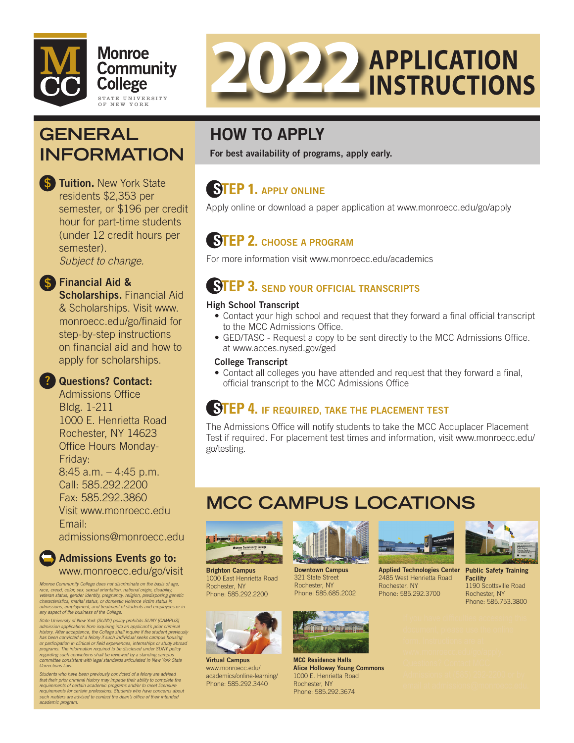



# **GENERAL INFORMATION**

Tuition. New York State residents \$2,353 per semester, or \$196 per credit hour for part-time students (under 12 credit hours per semester). *Subject to change.* 

## **\$** Financial Aid &

Scholarships. Financial Aid & Scholarships. Visit www. monroecc.edu/go/finaid for step-by-step instructions on fnancial aid and how to apply for scholarships.

## ? Questions? Contact:

**Admissions Office** Bldg. 1-211 1000 E. Henrietta Road Rochester, NY 14623 Office Hours Monday-Friday: 8:45 a.m. – 4:45 p.m. Call: 585.292.2200 Fax: 585.292.3860 Visit <www.monroecc.edu> Email:

[admissions@monroecc.edu](mailto:admissions@monroecc.edu) 

### Admissions Events go to: <www.monroecc.edu/go/visit>

*Monroe Community College does not discriminate on the basis of age, race, creed, color, sex, sexual orientation, national origin, disability,*  veteran status, gender identity, pregnancy, religion, predisposing genetic<br>characteristics, marital status, or domestic violence victim status in<br>admissions, employment, and treatment of students and employees or in *any aspect of the business of the College.* 

State University of New York (SUNY) policy prohibits SUNY [CAMPUS]<br>admission applications from inquiring into an applicant's prior criminal<br>history. After acceptance, the College shall inquire if the student previously has been convicted of a felony if such individual seeks campus housing<br>or participation in clinical or field experiences, internships or study abroad<br>programs. The information required to be disclosed under SUNY policy *regarding such convictions shall be reviewed by a standing campus committee consistent with legal standards articulated in New York State Corrections Law.* 

*Students who have been previously convicted of a felony are advised*  that their prior criminal history may impede their ability to complete the<br>requirements of certain academic programs and/or to meet licensure<br>requirements for certain professions. Students who have concerns about *such matters are advised to contact the dean's offce of their intended academic program.* 

# HOW TO APPLY

For best availability of programs, apply early.

## **STEP 1.** APPLY ONLINE

Apply online or download a paper application at <www.monroecc.edu/go/apply>

## **STEP 2.** CHOOSE A PROGRAM

For more information visit <www.monroecc.edu/academics>

## **STEP 3. SEND YOUR OFFICIAL TRANSCRIPTS**

## High School Transcript

- Contact your high school and request that they forward a final official transcript to the MCC Admissions Office.
- GED/TASC Request a copy to be sent directly to the MCC Admissions Office. at <www.acces.nysed.gov/ged>

### College Transcript

• Contact all colleges you have attended and request that they forward a final, official transcript to the MCC Admissions Office

## **STEP 4. IF REQUIRED, TAKE THE PLACEMENT TEST**

The Admissions Office will notify students to take the MCC Accuplacer Placement Test if required. For placement test times and information, visit<www.monroecc.edu>/ go/testing.

# **MCC CAMPUS LOCATIONS**



**Brighton Campus Downtown Campus Applied Technologies Center Public Safety Training**<br>1000 East Henrietta Road 321 State Street 2485 West Henrietta Road Facility 1000 East Henrietta Road 321 State Street 2485 West Henrietta Road Facility Phone: 585.292.2200



Virtual Campus www.monroecc.edu/ [academics/online-learning/](https://www.monroecc.edu/academics/online-learning/)  Phone: 585.292.3440





**MCC Residence Halls**  Alice Holloway Young Commons 1000 E. Henrietta Road Rochester, NY Phone: 585.292.3674





Rochester, NY Rochester, NY 1190 Scottsville Road<br>Phone: 585.685.2002 Phone: 585.292.3700 Rochester, NY Phone: 585.753.3800